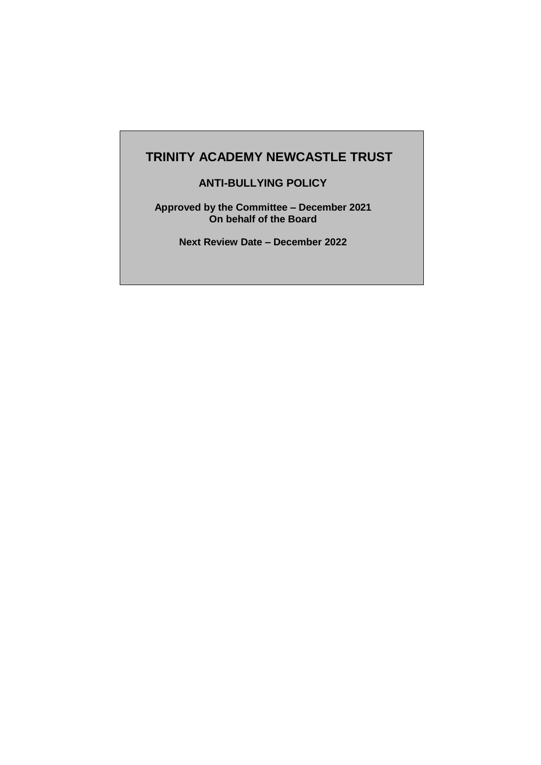# **TRINITY ACADEMY NEWCASTLE TRUST**

**ANTI-BULLYING POLICY**

**Approved by the Committee – December 2021 On behalf of the Board**

**Next Review Date – December 2022**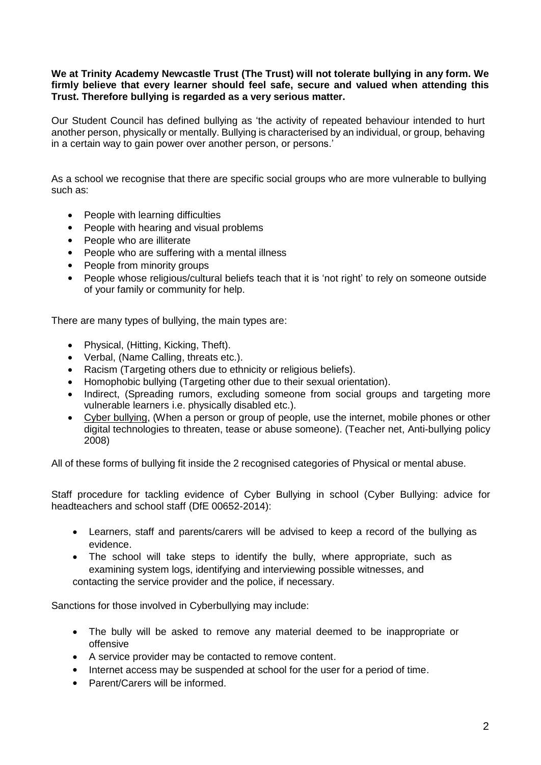#### **We at Trinity Academy Newcastle Trust (The Trust) will not tolerate bullying in any form. We firmly believe that every learner should feel safe, secure and valued when attending this Trust. Therefore bullying is regarded as a very serious matter.**

Our Student Council has defined bullying as 'the activity of repeated behaviour intended to hurt another person, physically or mentally. Bullying is characterised by an individual, or group, behaving in a certain way to gain power over another person, or persons.'

As a school we recognise that there are specific social groups who are more vulnerable to bullying such as:

- People with learning difficulties
- People with hearing and visual problems
- People who are illiterate
- People who are suffering with a mental illness
- People from minority groups
- People whose religious/cultural beliefs teach that it is 'not right' to rely on someone outside of your family or community for help.

There are many types of bullying, the main types are:

- Physical, (Hitting, Kicking, Theft).
- Verbal, (Name Calling, threats etc.).
- Racism (Targeting others due to ethnicity or religious beliefs).<br>• Homophobic bullving (Targeting other due to their sexual orier
- Homophobic bullying (Targeting other due to their sexual orientation).
- Indirect, (Spreading rumors, excluding someone from social groups and targeting more vulnerable learners i.e. physically disabled etc.).
- Cyber bullying, (When a person or group of people, use the internet, mobile phones or other digital technologies to threaten, tease or abuse someone). (Teacher net, Anti-bullying policy 2008)

All of these forms of bullying fit inside the 2 recognised categories of Physical or mental abuse.

Staff procedure for tackling evidence of Cyber Bullying in school (Cyber Bullying: advice for headteachers and school staff (DfE 00652-2014):

- Learners, staff and parents/carers will be advised to keep a record of the bullying as evidence.
- The school will take steps to identify the bully, where appropriate, such as examining system logs, identifying and interviewing possible witnesses, and contacting the service provider and the police, if necessary.

Sanctions for those involved in Cyberbullying may include:

- The bully will be asked to remove any material deemed to be inappropriate or offensive
- A service provider may be contacted to remove content.
- Internet access may be suspended at school for the user for a period of time.
- Parent/Carers will be informed.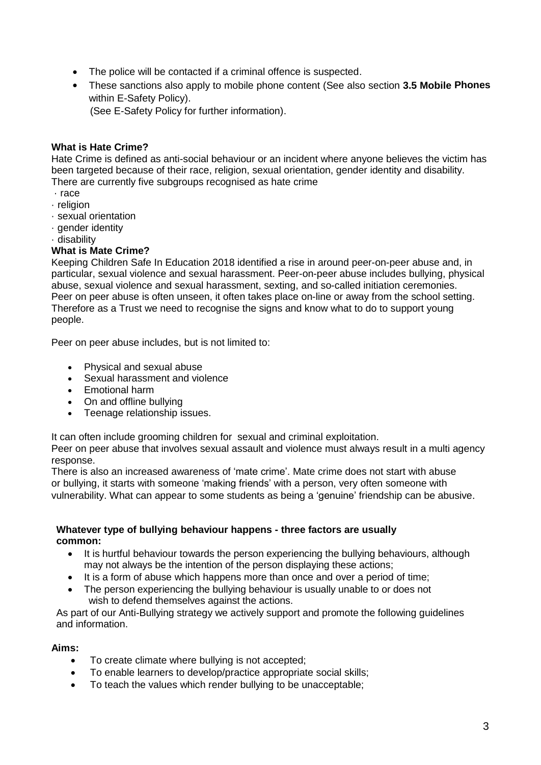- The police will be contacted if a criminal offence is suspected.
- These sanctions also apply to mobile phone content (See also section **3.5 Mobile Phones** within E-Safety Policy).

(See E-Safety Policy for further information).

## **What is Hate Crime?**

Hate Crime is defined as anti-social behaviour or an incident where anyone believes the victim has been targeted because of their race, religion, sexual orientation, gender identity and disability. There are currently five subgroups recognised as hate crime

- · race
- · religion
- · sexual orientation
- · gender identity
- · disability

## **What is Mate Crime?**

Keeping Children Safe In Education 2018 identified a rise in around peer-on-peer abuse and, in particular, sexual violence and sexual harassment. Peer-on-peer abuse includes bullying, physical abuse, sexual violence and sexual harassment, sexting, and so-called initiation ceremonies. Peer on peer abuse is often unseen, it often takes place on-line or away from the school setting. Therefore as a Trust we need to recognise the signs and know what to do to support young people.

Peer on peer abuse includes, but is not limited to:

- Physical and sexual abuse
- Sexual harassment and violence
- Emotional harm
- On and offline bullying
- Teenage relationship issues.

It can often include grooming children for sexual and criminal exploitation.

Peer on peer abuse that involves sexual assault and violence must always result in a multi agency response.

There is also an increased awareness of 'mate crime'. Mate crime does not start with abuse or bullying, it starts with someone 'making friends' with a person, very often someone with vulnerability. What can appear to some students as being a 'genuine' friendship can be abusive.

#### **Whatever type of bullying behaviour happens - three factors are usually common:**

- It is hurtful behaviour towards the person experiencing the bullying behaviours, although may not always be the intention of the person displaying these actions;
- It is a form of abuse which happens more than once and over a period of time;
- The person experiencing the bullying behaviour is usually unable to or does not wish to defend themselves against the actions.

As part of our Anti-Bullying strategy we actively support and promote the following guidelines and information.

## **Aims:**

- To create climate where bullying is not accepted;
- To enable learners to develop/practice appropriate social skills;
- To teach the values which render bullying to be unacceptable;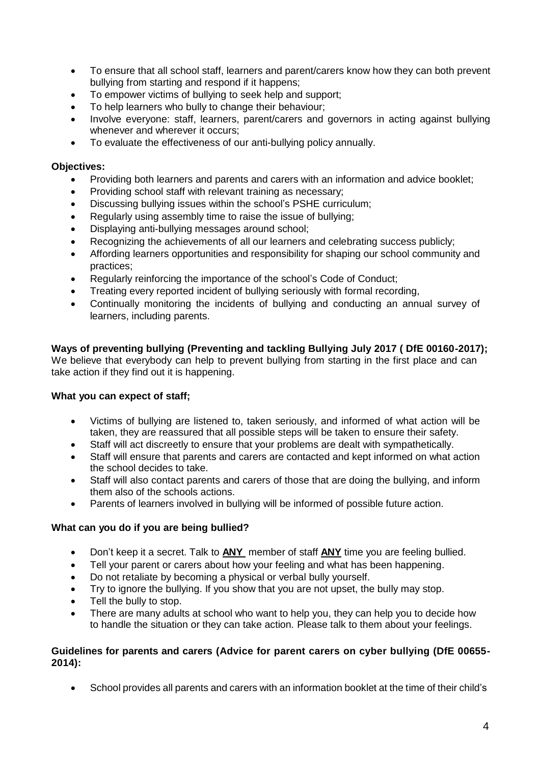- To ensure that all school staff, learners and parent/carers know how they can both prevent bullying from starting and respond if it happens;
- To empower victims of bullying to seek help and support;
- To help learners who bully to change their behaviour;
- Involve everyone: staff, learners, parent/carers and governors in acting against bullying whenever and wherever it occurs;
- To evaluate the effectiveness of our anti-bullying policy annually.

### **Objectives:**

- Providing both learners and parents and carers with an information and advice booklet;
- Providing school staff with relevant training as necessary;
- Discussing bullying issues within the school's PSHE curriculum;
- Regularly using assembly time to raise the issue of bullying;
- Displaying anti-bullying messages around school;
- Recognizing the achievements of all our learners and celebrating success publicly;
- Affording learners opportunities and responsibility for shaping our school community and practices;
- Regularly reinforcing the importance of the school's Code of Conduct;
- Treating every reported incident of bullying seriously with formal recording,
- Continually monitoring the incidents of bullying and conducting an annual survey of learners, including parents.

**Ways of preventing bullying (Preventing and tackling Bullying July 2017 ( DfE 00160-2017);** We believe that everybody can help to prevent bullying from starting in the first place and can take action if they find out it is happening.

#### **What you can expect of staff;**

- Victims of bullying are listened to, taken seriously, and informed of what action will be taken, they are reassured that all possible steps will be taken to ensure their safety.
- Staff will act discreetly to ensure that your problems are dealt with sympathetically.
- Staff will ensure that parents and carers are contacted and kept informed on what action the school decides to take.
- Staff will also contact parents and carers of those that are doing the bullying, and inform them also of the schools actions.
- Parents of learners involved in bullying will be informed of possible future action.

## **What can you do if you are being bullied?**

- Don't keep it a secret. Talk to **ANY** member of staff **ANY** time you are feeling bullied.
- Tell your parent or carers about how your feeling and what has been happening.
- Do not retaliate by becoming a physical or verbal bully yourself.
- Try to ignore the bullying. If you show that you are not upset, the bully may stop.
- Tell the bully to stop.
- There are many adults at school who want to help you, they can help you to decide how to handle the situation or they can take action. Please talk to them about your feelings.

#### **Guidelines for parents and carers (Advice for parent carers on cyber bullying (DfE 00655- 2014):**

School provides all parents and carers with an information booklet at the time of their child's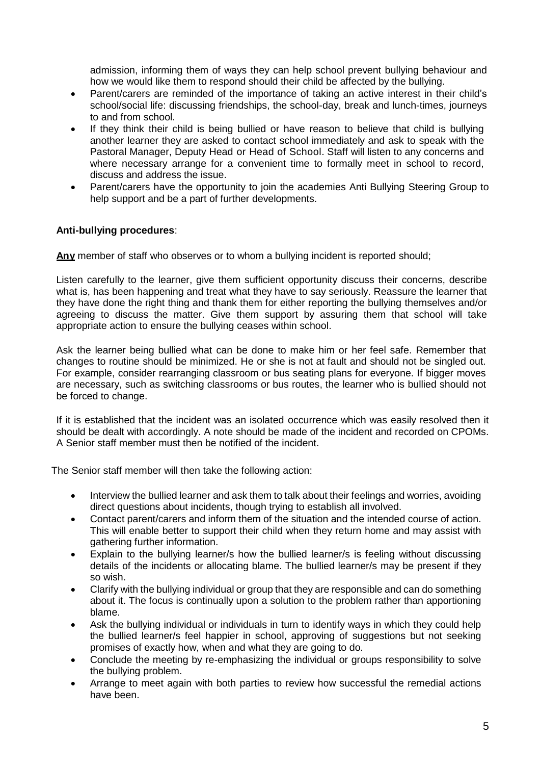admission, informing them of ways they can help school prevent bullying behaviour and how we would like them to respond should their child be affected by the bullying.

- Parent/carers are reminded of the importance of taking an active interest in their child's school/social life: discussing friendships, the school-day, break and lunch-times, journeys to and from school.
- If they think their child is being bullied or have reason to believe that child is bullying another learner they are asked to contact school immediately and ask to speak with the Pastoral Manager, Deputy Head or Head of School. Staff will listen to any concerns and where necessary arrange for a convenient time to formally meet in school to record, discuss and address the issue.
- Parent/carers have the opportunity to join the academies Anti Bullying Steering Group to help support and be a part of further developments.

## **Anti-bullying procedures**:

**Any** member of staff who observes or to whom a bullying incident is reported should;

Listen carefully to the learner, give them sufficient opportunity discuss their concerns, describe what is, has been happening and treat what they have to say seriously. Reassure the learner that they have done the right thing and thank them for either reporting the bullying themselves and/or agreeing to discuss the matter. Give them support by assuring them that school will take appropriate action to ensure the bullying ceases within school.

Ask the learner being bullied what can be done to make him or her feel safe. Remember that changes to routine should be minimized. He or she is not at fault and should not be singled out. For example, consider rearranging classroom or bus seating plans for everyone. If bigger moves are necessary, such as switching classrooms or bus routes, the learner who is bullied should not be forced to change.

If it is established that the incident was an isolated occurrence which was easily resolved then it should be dealt with accordingly. A note should be made of the incident and recorded on CPOMs. A Senior staff member must then be notified of the incident.

The Senior staff member will then take the following action:

- Interview the bullied learner and ask them to talk about their feelings and worries, avoiding direct questions about incidents, though trying to establish all involved.
- Contact parent/carers and inform them of the situation and the intended course of action. This will enable better to support their child when they return home and may assist with gathering further information.
- Explain to the bullying learner/s how the bullied learner/s is feeling without discussing details of the incidents or allocating blame. The bullied learner/s may be present if they so wish.
- Clarify with the bullying individual or group that they are responsible and can do something about it. The focus is continually upon a solution to the problem rather than apportioning blame.
- Ask the bullying individual or individuals in turn to identify ways in which they could help the bullied learner/s feel happier in school, approving of suggestions but not seeking promises of exactly how, when and what they are going to do.
- Conclude the meeting by re-emphasizing the individual or groups responsibility to solve the bullying problem.
- Arrange to meet again with both parties to review how successful the remedial actions have been.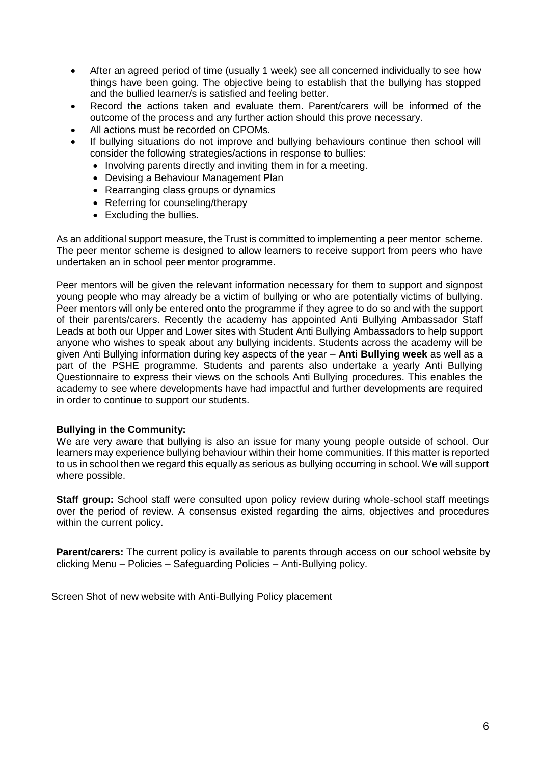- After an agreed period of time (usually 1 week) see all concerned individually to see how things have been going. The objective being to establish that the bullying has stopped and the bullied learner/s is satisfied and feeling better.
- Record the actions taken and evaluate them. Parent/carers will be informed of the outcome of the process and any further action should this prove necessary.
- All actions must be recorded on CPOMs.
- If bullying situations do not improve and bullying behaviours continue then school will consider the following strategies/actions in response to bullies:
	- Involving parents directly and inviting them in for a meeting.
	- Devising a Behaviour Management Plan
	- Rearranging class groups or dynamics
	- Referring for counseling/therapy
	- Excluding the bullies.

As an additional support measure, the Trust is committed to implementing a peer mentor scheme. The peer mentor scheme is designed to allow learners to receive support from peers who have undertaken an in school peer mentor programme.

Peer mentors will be given the relevant information necessary for them to support and signpost young people who may already be a victim of bullying or who are potentially victims of bullying. Peer mentors will only be entered onto the programme if they agree to do so and with the support of their parents/carers. Recently the academy has appointed Anti Bullying Ambassador Staff Leads at both our Upper and Lower sites with Student Anti Bullying Ambassadors to help support anyone who wishes to speak about any bullying incidents. Students across the academy will be given Anti Bullying information during key aspects of the year – **Anti Bullying week** as well as a part of the PSHE programme. Students and parents also undertake a yearly Anti Bullying Questionnaire to express their views on the schools Anti Bullying procedures. This enables the academy to see where developments have had impactful and further developments are required in order to continue to support our students.

#### **Bullying in the Community:**

We are very aware that bullying is also an issue for many young people outside of school. Our learners may experience bullying behaviour within their home communities. If this matter is reported to us in school then we regard this equally as serious as bullying occurring in school. We will support where possible.

**Staff group:** School staff were consulted upon policy review during whole-school staff meetings over the period of review. A consensus existed regarding the aims, objectives and procedures within the current policy.

**Parent/carers:** The current policy is available to parents through access on our school website by clicking Menu – Policies – Safeguarding Policies – Anti-Bullying policy.

Screen Shot of new website with Anti-Bullying Policy placement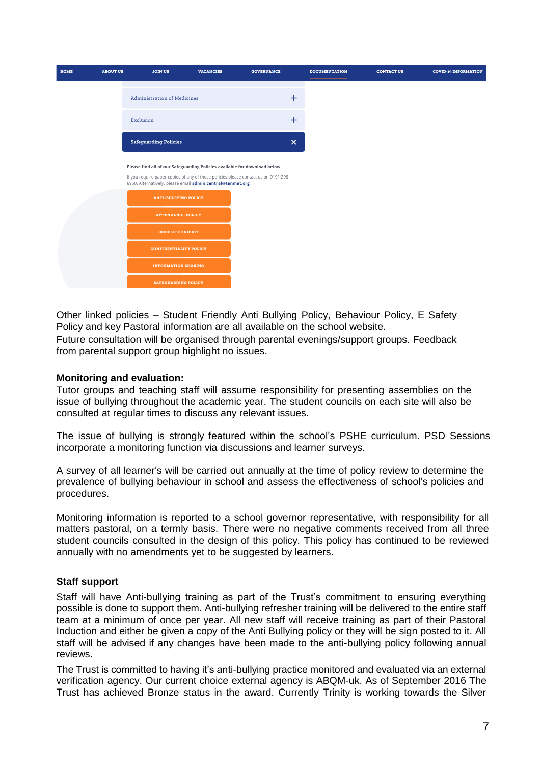| <b>HOME</b> | <b>ABOUT US</b> | <b>JOIN US</b>                                                                                                                                    | <b>VACANCIES</b> | <b>GOVERNANCE</b>         | <b>DOCUMENTATION</b> | <b>CONTACT US</b> | <b>COVID-19 INFORMATION</b> |
|-------------|-----------------|---------------------------------------------------------------------------------------------------------------------------------------------------|------------------|---------------------------|----------------------|-------------------|-----------------------------|
|             |                 |                                                                                                                                                   |                  |                           |                      |                   |                             |
|             |                 | <b>Administration of Medicines</b>                                                                                                                |                  | $^{+}$                    |                      |                   |                             |
|             |                 | Exclusion                                                                                                                                         |                  | $\pm$                     |                      |                   |                             |
|             |                 | <b>Safeguarding Policies</b>                                                                                                                      |                  | $\boldsymbol{\mathsf{x}}$ |                      |                   |                             |
|             |                 | Please find all of our Safeguarding Policies available for download below.                                                                        |                  |                           |                      |                   |                             |
|             |                 | If you require paper copies of any of these policies please contact us on 0191 298<br>6950. Alternatively, please email admin.central@tanmat.org. |                  |                           |                      |                   |                             |
|             |                 | <b>ANTI-BULLYING POLICY</b>                                                                                                                       |                  |                           |                      |                   |                             |
|             |                 | <b>ATTENDANCE POLICY</b>                                                                                                                          |                  |                           |                      |                   |                             |
|             |                 | <b>CODE OF CONDUCT</b>                                                                                                                            |                  |                           |                      |                   |                             |
|             |                 | CONFIDENTIALITY POLICY                                                                                                                            |                  |                           |                      |                   |                             |
|             |                 | <b>INFORMATION SHARING</b>                                                                                                                        |                  |                           |                      |                   |                             |
|             |                 | <b>SAFEGUARDING POLICY</b>                                                                                                                        |                  |                           |                      |                   |                             |

Other linked policies – Student Friendly Anti Bullying Policy, Behaviour Policy, E Safety Policy and key Pastoral information are all available on the school website.

Future consultation will be organised through parental evenings/support groups. Feedback from parental support group highlight no issues.

#### **Monitoring and evaluation:**

Tutor groups and teaching staff will assume responsibility for presenting assemblies on the issue of bullying throughout the academic year. The student councils on each site will also be consulted at regular times to discuss any relevant issues.

The issue of bullying is strongly featured within the school's PSHE curriculum. PSD Sessions incorporate a monitoring function via discussions and learner surveys.

A survey of all learner's will be carried out annually at the time of policy review to determine the prevalence of bullying behaviour in school and assess the effectiveness of school's policies and procedures.

Monitoring information is reported to a school governor representative, with responsibility for all matters pastoral, on a termly basis. There were no negative comments received from all three student councils consulted in the design of this policy. This policy has continued to be reviewed annually with no amendments yet to be suggested by learners.

#### **Staff support**

Staff will have Anti-bullying training as part of the Trust's commitment to ensuring everything possible is done to support them. Anti-bullying refresher training will be delivered to the entire staff team at a minimum of once per year. All new staff will receive training as part of their Pastoral Induction and either be given a copy of the Anti Bullying policy or they will be sign posted to it. All staff will be advised if any changes have been made to the anti-bullying policy following annual reviews.

The Trust is committed to having it's anti-bullying practice monitored and evaluated via an external verification agency. Our current choice external agency is ABQM-uk. As of September 2016 The Trust has achieved Bronze status in the award. Currently Trinity is working towards the Silver